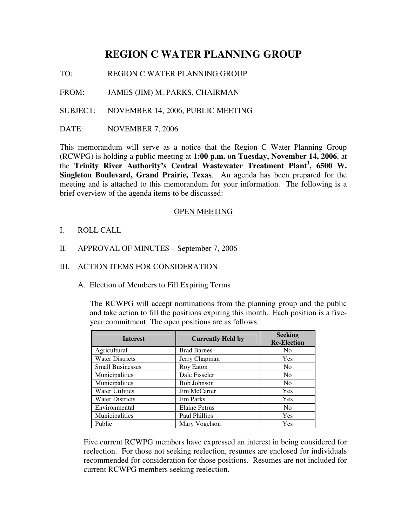## **REGION C WATER PLANNING GROUP**

TO: REGION C WATER PLANNING GROUP

FROM: JAMES (JIM) M. PARKS, CHAIRMAN

SUBJECT: NOVEMBER 14, 2006, PUBLIC MEETING

DATE: NOVEMBER 7, 2006

This memorandum will serve as a notice that the Region C Water Planning Group (RCWPG) is holding a public meeting at **1:00 p.m. on Tuesday, November 14, 2006**, at the **Trinity River Authority's Central Wastewater Treatment Plant 1 , 6500 W. Singleton Boulevard, Grand Prairie, Texas**. An agenda has been prepared for the meeting and is attached to this memorandum for your information. The following is a brief overview of the agenda items to be discussed:

## OPEN MEETING

- I. ROLL CALL
- II. APPROVAL OF MINUTES September 7, 2006
- III. ACTION ITEMS FOR CONSIDERATION
	- A. Election of Members to Fill Expiring Terms

The RCWPG will accept nominations from the planning group and the public and take action to fill the positions expiring this month. Each position is a fiveyear commitment. The open positions are as follows:

| <b>Interest</b>         | <b>Currently Held by</b> | <b>Seeking</b><br><b>Re-Election</b> |
|-------------------------|--------------------------|--------------------------------------|
| Agricultural            | <b>Brad Barnes</b>       | N <sub>0</sub>                       |
| <b>Water Districts</b>  | Jerry Chapman            | Yes                                  |
| <b>Small Businesses</b> | Roy Eaton                | N <sub>0</sub>                       |
| Municipalities          | Dale Fisseler            | N <sub>0</sub>                       |
| Municipalities          | <b>Bob Johnson</b>       | N <sub>0</sub>                       |
| <b>Water Utilities</b>  | Jim McCarter             | Yes                                  |
| <b>Water Districts</b>  | <b>Jim Parks</b>         | Yes                                  |
| Environmental           | <b>Elaine Petrus</b>     | N <sub>0</sub>                       |
| Municipalities          | Paul Phillips            | Yes                                  |
| Public                  | Mary Vogelson            | Yes                                  |

Five current RCWPG members have expressed an interest in being considered for reelection. For those not seeking reelection, resumes are enclosed for individuals recommended for consideration for those positions. Resumes are not included for current RCWPG members seeking reelection.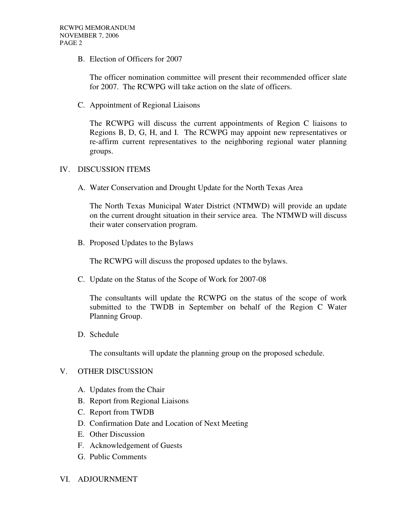B. Election of Officers for 2007

The officer nomination committee will present their recommended officer slate for 2007. The RCWPG will take action on the slate of officers.

C. Appointment of Regional Liaisons

The RCWPG will discuss the current appointments of Region C liaisons to Regions B, D, G, H, and I. The RCWPG may appoint new representatives or re-affirm current representatives to the neighboring regional water planning groups.

## IV. DISCUSSION ITEMS

A. Water Conservation and Drought Update for the North Texas Area

The North Texas Municipal Water District (NTMWD) will provide an update on the current drought situation in their service area. The NTMWD will discuss their water conservation program.

B. Proposed Updates to the Bylaws

The RCWPG will discuss the proposed updates to the bylaws.

C. Update on the Status of the Scope of Work for 2007-08

The consultants will update the RCWPG on the status of the scope of work submitted to the TWDB in September on behalf of the Region C Water Planning Group.

D. Schedule

The consultants will update the planning group on the proposed schedule.

## V. OTHER DISCUSSION

- A. Updates from the Chair
- B. Report from Regional Liaisons
- C. Report from TWDB
- D. Confirmation Date and Location of Next Meeting
- E. Other Discussion
- F. Acknowledgement of Guests
- G. Public Comments
- VI. ADJOURNMENT